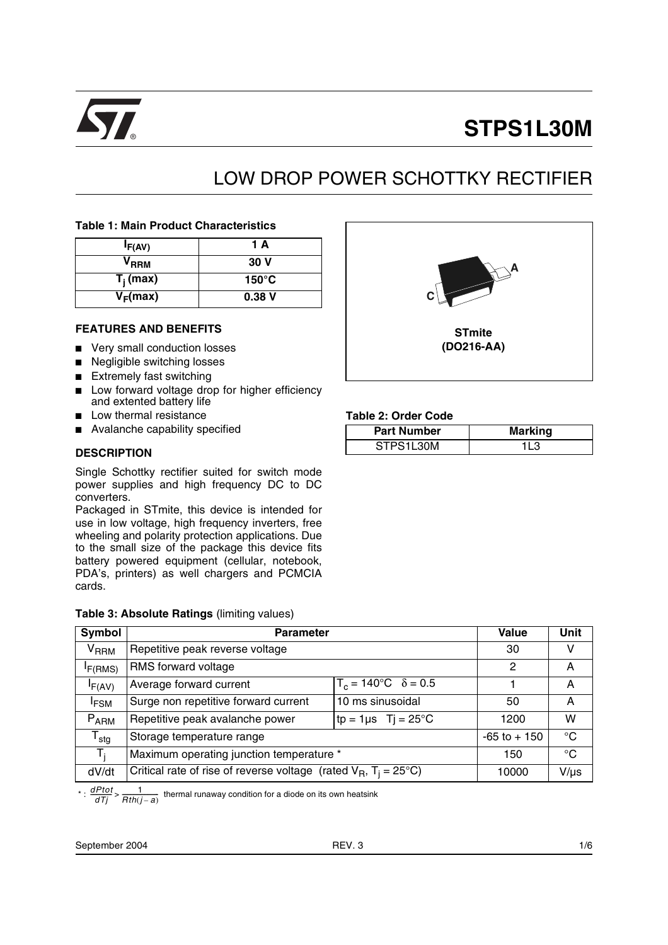

# **STPS1L30M**

## LOW DROP POWER SCHOTTKY RECTIFIER

#### **Table 1: Main Product Characteristics**

| IF(AV)           | 1 A             |
|------------------|-----------------|
| V <sub>RRM</sub> | 30 V            |
| $T_i$ (max)      | $150^{\circ}$ C |
| $V_F(max)$       | 0.38V           |

#### **FEATURES AND BENEFITS**

- Very small conduction losses
- Negligible switching losses
- Extremely fast switching
- Low forward voltage drop for higher efficiency and extented battery life
- Low thermal resistance
- Avalanche capability specified

#### **DESCRIPTION**

Single Schottky rectifier suited for switch mode power supplies and high frequency DC to DC converters.

Packaged in STmite, this device is intended for use in low voltage, high frequency inverters, free wheeling and polarity protection applications. Due to the small size of the package this device fits battery powered equipment (cellular, notebook, PDA's, printers) as well chargers and PCMCIA cards.

#### **Table 3: Absolute Ratings** (limiting values)



#### **Table 2: Order Code**

| <b>Part Number</b> | <b>Marking</b> |
|--------------------|----------------|
| STPS1L30M          |                |

| Symbol                       | <b>Parameter</b>                                                              | <b>Value</b>    | Unit         |           |
|------------------------------|-------------------------------------------------------------------------------|-----------------|--------------|-----------|
| <b>V<sub>RRM</sub></b>       | Repetitive peak reverse voltage                                               | 30              | v            |           |
| I <sub>F</sub> (RMS)         | RMS forward voltage                                                           | 2               | А            |           |
| IF(AV)                       | $T_c = 140^{\circ}C \quad \delta = 0.5$<br>Average forward current            |                 |              | A         |
| <b>IFSM</b>                  | 10 ms sinusoidal<br>Surge non repetitive forward current                      |                 | 50           | A         |
| $P_{ARM}$                    | Repetitive peak avalanche power                                               | 1200            | w            |           |
| ${\mathsf T}_{\textsf{stg}}$ | Storage temperature range                                                     | $-65$ to $+150$ | $^{\circ}$ C |           |
| T,                           | Maximum operating junction temperature *                                      | 150             | $^{\circ}$ C |           |
| dV/dt                        | Critical rate of rise of reverse voltage (rated $V_B$ , $T_i = 25^{\circ}C$ ) |                 |              | $V/\mu s$ |

\* :  $\frac{dPtot}{dTj}$  >  $\frac{1}{Rth(j-a)}$  thermal runaway condition for a diode on its own heatsink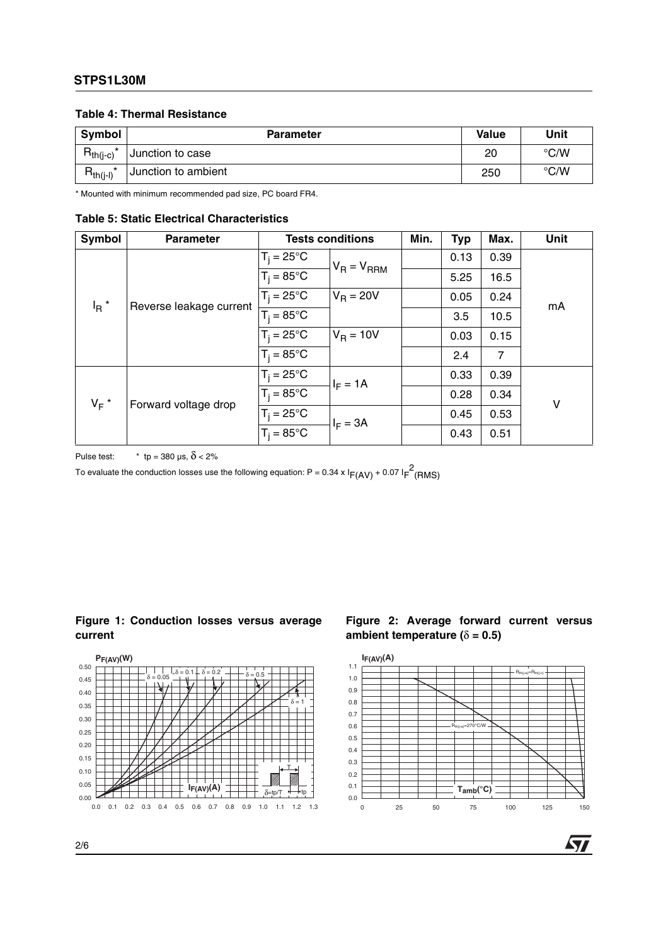### **STPS1L30M**

#### **Table 4: Thermal Resistance**

| Symbol        | <b>Parameter</b>    | Value | Unit               |
|---------------|---------------------|-------|--------------------|
| $R_{th(i-c)}$ | Junction to case    | 20    | $\rm ^{\circ}$ C/W |
| $R_{th(j-l)}$ | Junction to ambient | 250   | $\rm ^{\circ}$ C/W |

\* Mounted with minimum recommended pad size, PC board FR4.

#### **Table 5: Static Electrical Characteristics**

| Symbol                                        | <b>Parameter</b>     | <b>Tests conditions</b>        |                   | Min. | <b>Typ</b> | Max.           | <b>Unit</b> |
|-----------------------------------------------|----------------------|--------------------------------|-------------------|------|------------|----------------|-------------|
| $I_R$ <sup>*</sup><br>Reverse leakage current |                      | $T_i = 25^{\circ}C$            | $V_R = V_{RRM}$   |      | 0.13       | 0.39           |             |
|                                               |                      | $T_i = 85^{\circ}C$            |                   |      | 5.25       | 16.5           |             |
|                                               |                      | $T_i = 25^{\circ}C$            | $V_{\rm B}$ = 20V |      | 0.05       | 0.24           |             |
|                                               | $T_i = 85^{\circ}C$  |                                |                   | 3.5  | 10.5       | mA             |             |
|                                               |                      | $T_i = 25^{\circ}C$            | $V_R = 10V$       |      | 0.03       | 0.15           |             |
|                                               |                      | $T_i = 85^{\circ}$ C           |                   |      | 2.4        | $\overline{7}$ |             |
| $V_F$ *                                       | Forward voltage drop | $T_i = 25^{\circ}C$            | $I_F = 1A$        |      | 0.33       | 0.39           |             |
|                                               |                      | $T_i = 85^{\circ}$ C           |                   |      | 0.28       | 0.34           | v           |
|                                               |                      | $T_j = 25^{\circ}C$            | $I_F = 3A$        |      | 0.45       | 0.53           |             |
|                                               |                      | $\overline{T_i} = 85^{\circ}C$ |                   |      | 0.43       | 0.51           |             |

Pulse test:  $\qquad \times \text{tp} = 380 \text{ µs}, \ \delta < 2\%$ 

To evaluate the conduction losses use the following equation: P = 0.34 x l<sub>F(AV)</sub> + 0.07 l<sub>F</sub><sup>2</sup>(RMS)

#### **Figure 1: Conduction losses versus average current**



#### **Figure 2: Average forward current versus ambient temperature (** $\delta$  **= 0.5)**



57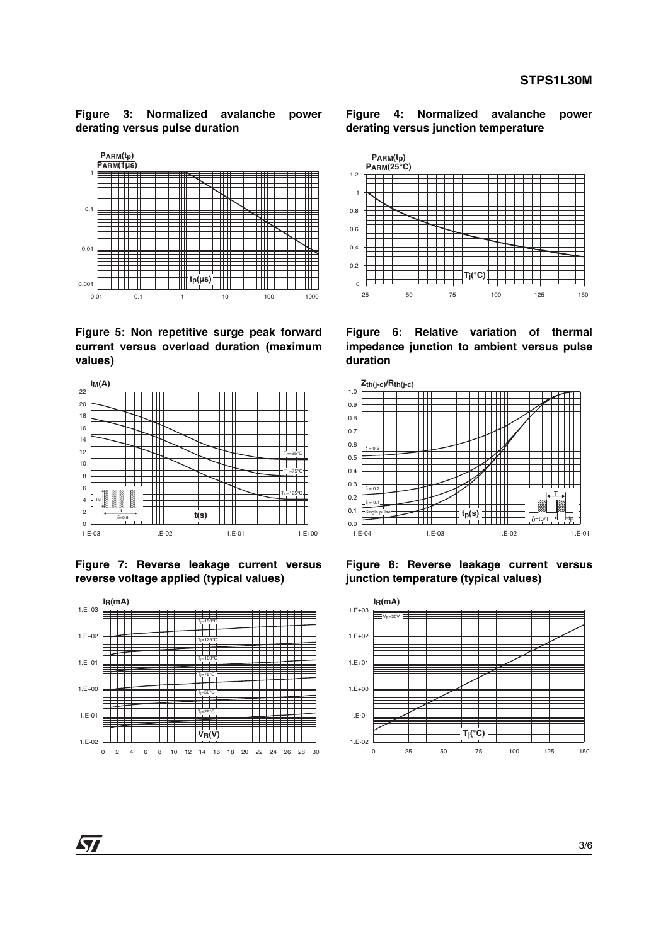#### **Figure 3: Normalized avalanche power derating versus pulse duration**



**Figure 5: Non repetitive surge peak forward current versus overload duration (maximum values)**



**Figure 7: Reverse leakage current versus reverse voltage applied (typical values)**







**Figure 6: Relative variation of thermal impedance junction to ambient versus pulse duration**



**Figure 8: Reverse leakage current versus junction temperature (typical values)**



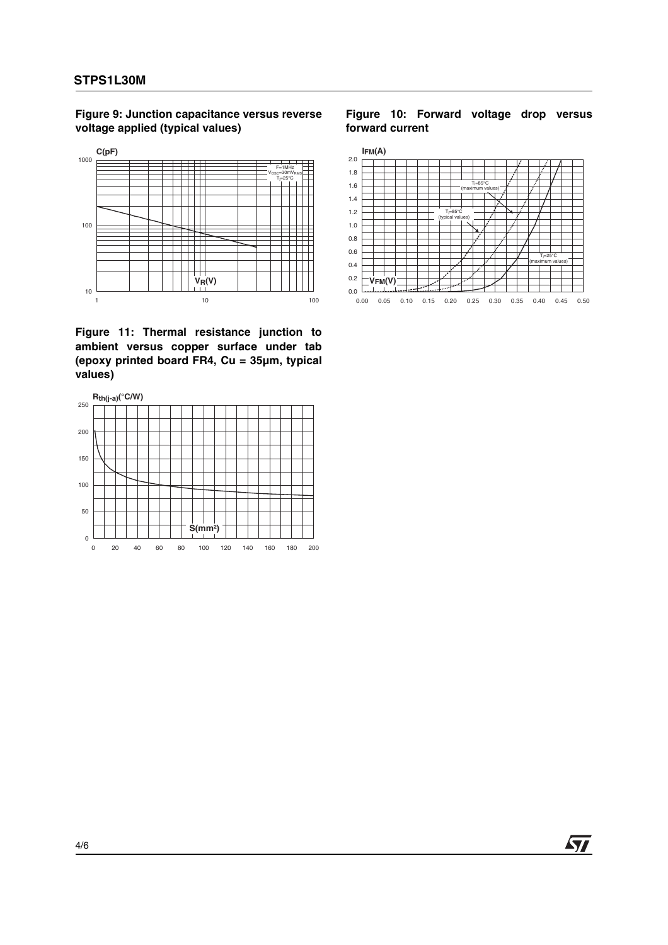**Figure 9: Junction capacitance versus reverse voltage applied (typical values)**



**Figure 11: Thermal resistance junction to ambient versus copper surface under tab (epoxy printed board FR4, Cu = 35µm, typical values)**



#### **Figure 10: Forward voltage drop versus forward current**



ST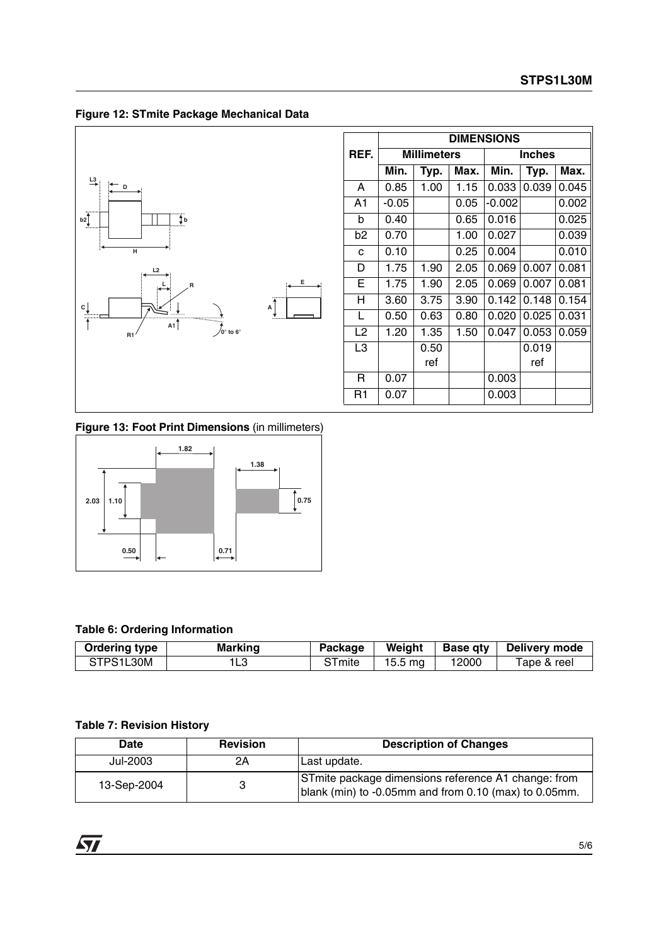**Figure 12: STmite Package Mechanical Data**



|                | <b>DIMENSIONS</b>  |      |      |          |               |       |
|----------------|--------------------|------|------|----------|---------------|-------|
| REF.           | <b>Millimeters</b> |      |      |          | <b>Inches</b> |       |
|                | Min.               | Typ. | Max. | Min.     | Typ.          | Max.  |
| A              | 0.85               | 1.00 | 1.15 | 0.033    | 0.039         | 0.045 |
| A <sub>1</sub> | $-0.05$            |      | 0.05 | $-0.002$ |               | 0.002 |
| b              | 0.40               |      | 0.65 | 0.016    |               | 0.025 |
| b2             | 0.70               |      | 1.00 | 0.027    |               | 0.039 |
| C              | 0.10               |      | 0.25 | 0.004    |               | 0.010 |
| D              | 1.75               | 1.90 | 2.05 | 0.069    | 0.007         | 0.081 |
| Е              | 1.75               | 1.90 | 2.05 | 0.069    | 0.007         | 0.081 |
| н              | 3.60               | 3.75 | 3.90 | 0.142    | 0.148         | 0.154 |
| L              | 0.50               | 0.63 | 0.80 | 0.020    | 0.025         | 0.031 |
| L2             | 1.20               | 1.35 | 1.50 | 0.047    | 0.053         | 0.059 |
| L3             |                    | 0.50 |      |          | 0.019         |       |
|                |                    | ref  |      |          | ref           |       |
| R              | 0.07               |      |      | 0.003    |               |       |
| R1             | 0.07               |      |      | 0.003    |               |       |

**Figure 13: Foot Print Dimensions** (in millimeters)



## **Table 6: Ordering Information**

| <b>Ordering type</b> | Marking | Package | Weight            | <b>Base gty</b> | Delivery mode |
|----------------------|---------|---------|-------------------|-----------------|---------------|
| STPS1L30M            | ١LЗ     | imite   | $15.5 \text{ mg}$ | 12000           | Tape & reel   |

## **Table 7: Revision History**

| Date        | <b>Revision</b> | <b>Description of Changes</b>                                                                                |
|-------------|-----------------|--------------------------------------------------------------------------------------------------------------|
| Jul-2003    | 2Α              | Last update.                                                                                                 |
| 13-Sep-2004 |                 | STmite package dimensions reference A1 change: from<br>blank (min) to -0.05mm and from 0.10 (max) to 0.05mm. |